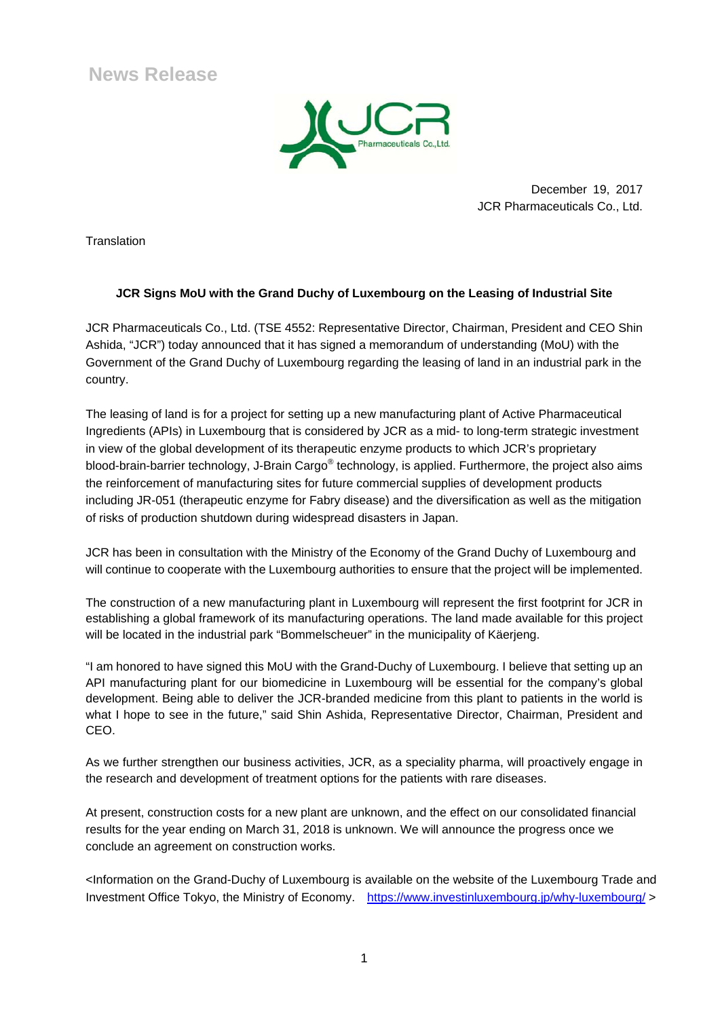**News Release**



 December 19, 2017 JCR Pharmaceuticals Co., Ltd.

**Translation** 

## **JCR Signs MoU with the Grand Duchy of Luxembourg on the Leasing of Industrial Site**

JCR Pharmaceuticals Co., Ltd. (TSE 4552: Representative Director, Chairman, President and CEO Shin Ashida, "JCR") today announced that it has signed a memorandum of understanding (MoU) with the Government of the Grand Duchy of Luxembourg regarding the leasing of land in an industrial park in the country.

The leasing of land is for a project for setting up a new manufacturing plant of Active Pharmaceutical Ingredients (APIs) in Luxembourg that is considered by JCR as a mid- to long-term strategic investment in view of the global development of its therapeutic enzyme products to which JCR's proprietary blood-brain-barrier technology, J-Brain Cargo® technology, is applied. Furthermore, the project also aims the reinforcement of manufacturing sites for future commercial supplies of development products including JR-051 (therapeutic enzyme for Fabry disease) and the diversification as well as the mitigation of risks of production shutdown during widespread disasters in Japan.

JCR has been in consultation with the Ministry of the Economy of the Grand Duchy of Luxembourg and will continue to cooperate with the Luxembourg authorities to ensure that the project will be implemented.

The construction of a new manufacturing plant in Luxembourg will represent the first footprint for JCR in establishing a global framework of its manufacturing operations. The land made available for this project will be located in the industrial park "Bommelscheuer" in the municipality of Käerjeng.

"I am honored to have signed this MoU with the Grand-Duchy of Luxembourg. I believe that setting up an API manufacturing plant for our biomedicine in Luxembourg will be essential for the company's global development. Being able to deliver the JCR-branded medicine from this plant to patients in the world is what I hope to see in the future," said Shin Ashida, Representative Director, Chairman, President and CEO.

As we further strengthen our business activities, JCR, as a speciality pharma, will proactively engage in the research and development of treatment options for the patients with rare diseases.

At present, construction costs for a new plant are unknown, and the effect on our consolidated financial results for the year ending on March 31, 2018 is unknown. We will announce the progress once we conclude an agreement on construction works.

<Information on the Grand-Duchy of Luxembourg is available on the website of the Luxembourg Trade and Investment Office Tokyo, the Ministry of Economy. https://www.investinluxembourg.jp/why-luxembourg/ >